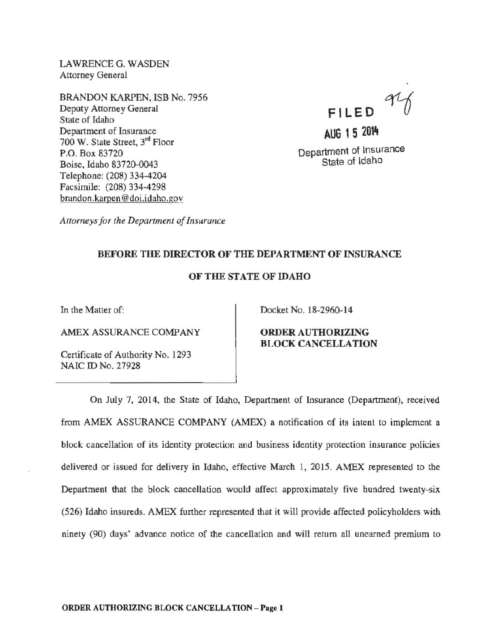LAWRENCE G. WASDEN Attorney General

BRANDON KARPEN, ISB No. 7956 Deputy Attorney General State of Idaho Department of Insurance 700 W. State Street, 3rd Floor P.O. Box 83720 Boise, Idaho 83720-0043 Telephone: (208) 334-4204 Facsimile: (208) 334-4298 brandon.karpen@doi.idaho.gov

**Fl LED** 

**AUG 1 5 2014**  Department of Insurance State of Idaho

*Attorneys for the Department of Insurance* 

## BEFORE THE DIRECTOR OF THE DEPARTMENT OF INSURANCE

## OF THE STATE OF IDAHO

In the Matter of:

AMEX ASSURANCE COMPANY

Certificate of Authority No. 1293 NAIC ID No. 27928

Docket No. 18-2960-14

ORDER AUTHORIZING BLOCK CANCELLATION

On July 7, 2014, the State of Idaho, Department of Insurance (Department), received from AMEX ASSURANCE COMPANY (AMEX) a notification of its intent to implement a block cancellation of its identity protection and business identity protection insurance policies delivered or issued for delivery in Idaho, effective March 1, 2015. AMEX represented to the Department that the block cancellation would affect approximately five hundred twenty-six (526) Idaho insureds. AMEX further represented that it will provide affected policyholders with ninety (90) days' advance notice of the cancellation and will return all unearned premium to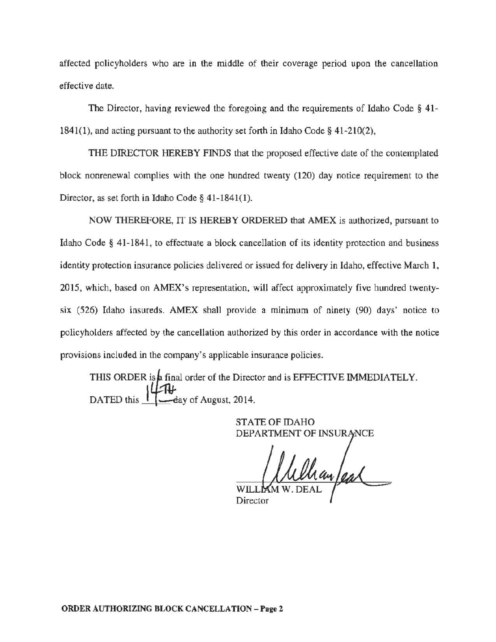affected policyholders who are in the middle of their coverage period upon the cancellation effective date.

The Director, having reviewed the foregoing and the requirements of Idaho Code § 41- 1841{1), and acting pursuant to the authority set forth in Idaho Code§ 41-210(2),

THE DIRECTOR HEREBY FlNDS that the proposed effective date of the contemplated block nonrenewal complies with the one hundred twenty (120) day notice requirement to the Director, as set forth in Idaho Code§ 41-1841(1).

NOW THEREFORE, IT IS HEREBY ORDERED that AMEX is authorized, pursuant to Idaho Code § 41-1841, to effectuate a block cancellation of its identity protection and business identity protection insurance policies delivered or issued for delivery in Idaho, effective March 1, 2015, which, based on AMEX's representation, will affect approximately five hundred twentysix (526) Idaho insureds. AMEX shall provide a minimum of ninety (90) days' notice to policyholders affected by the cancellation authorized by this order in accordance with the notice provisions included in the company's applicable insurance policies.

THIS ORDER is a final order of the Director and is EFFECTIVE IMMEDIATELY. DATED this I ....--eay of August, 2014.

> STATE OF IDAHO DEPARTMENT OF INSURANCE

Wellian/ear WIL<sub>L</sub>

Director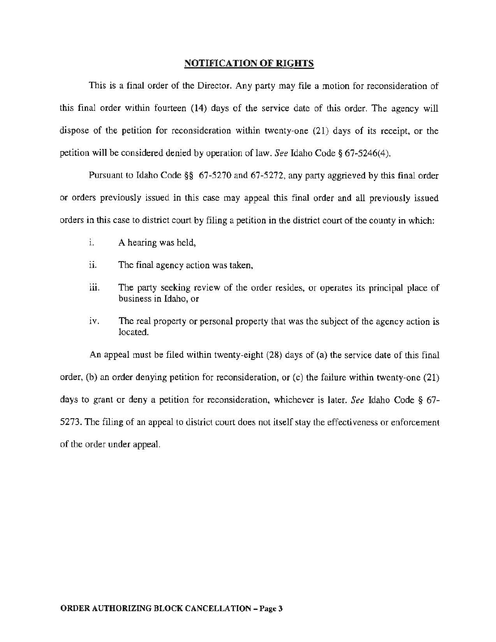## NOTIFICATION OF **RIGHTS**

This is a final order of the Director. Any party may file a motion for reconsideration of this final order within fourteen (14) days of the service date of this order. The agency will dispose of the petition for reconsideration within twenty-one (21) days of its receipt, or the petition will be considered denied by operation of law. *See* Idaho Code§ 67~5246(4).

Pursuant to Idaho Code §§ 67-5270 and 67-5272, any party aggrieved by this final order or orders previously issued in this case may appeal this final order and all previously issued orders in this case to district court by filing a petition in the district court of the county in which:

- 1. A hearing was held,
- ii. The final agency action was taken,
- iii. The party seeking review of the order resides, or operates its principal place of business in Idaho, or
- iv. The real property or personal property that was the subject of the agency action is located.

An appeal must be filed within twenty-eight (28) days of (a) the service date of this final order, (b) an order denying petition for reconsideration, or (c) the failure within twenty-one (21) days to grant or deny a petition for reconsideration, whichever is later. *See* Idaho Code § 67- 5273. The filing of an appeal to district court does not itself stay the effectiveness or enforcement of the order under appeal.